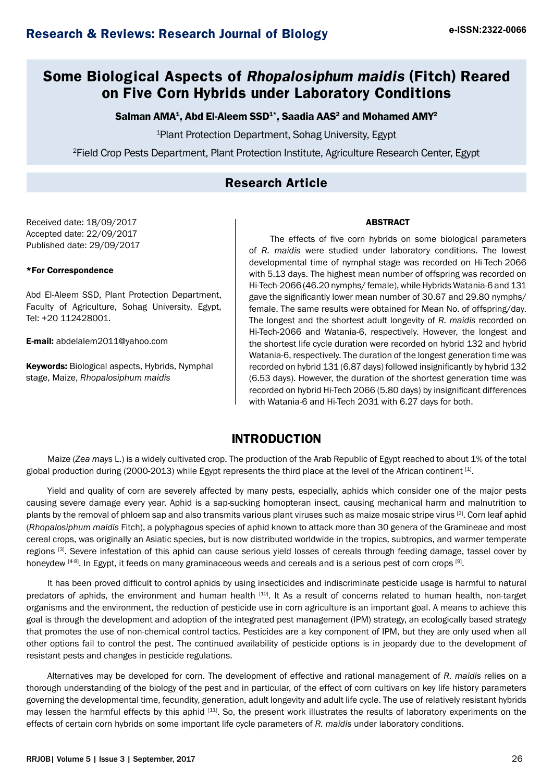# **Some Biological Aspects of Rhopalosiphum maidis (Fitch) Reared on Five Corn Hybrids under Laboratory Conditions**

## Salman AMA $^{\rm 1}$ , Abd El-Aleem SSD $^{\rm 1*}$ , Saadia AAS $^{\rm 2}$  and Mohamed AMY $^{\rm 2}$

1 Plant Protection Department, Sohag University, Egypt

2 Field Crop Pests Department, Plant Protection Institute, Agriculture Research Center, Egypt

## **Research Article**

Received date: 18/09/2017 Accepted date: 22/09/2017 Published date: 29/09/2017

#### \*For Correspondence

Abd El-Aleem SSD, Plant Protection Department, Faculty of Agriculture, Sohag University, Egypt, Tel: +20 112428001.

E-mail: [abdelalem2011@yahoo.com](file:///D:\DIVU\JOURNALS\AUTHOR PROOF\B\abdelalem2011@yahoo.com)

Keywords: Biological aspects, Hybrids, Nymphal stage, Maize, *Rhopalosiphum maidis*

#### ABSTRACT

The effects of five corn hybrids on some biological parameters of *R. maidis* were studied under laboratory conditions. The lowest developmental time of nymphal stage was recorded on Hi-Tech-2066 with 5.13 days. The highest mean number of offspring was recorded on Hi-Tech-2066 (46.20 nymphs/ female), while Hybrids Watania-6 and 131 gave the significantly lower mean number of 30.67 and 29.80 nymphs/ female. The same results were obtained for Mean No. of offspring/day. The longest and the shortest adult longevity of *R. maidis* recorded on Hi-Tech-2066 and Watania-6, respectively. However, the longest and the shortest life cycle duration were recorded on hybrid 132 and hybrid Watania-6, respectively. The duration of the longest generation time was recorded on hybrid 131 (6.87 days) followed insignificantly by hybrid 132 (6.53 days). However, the duration of the shortest generation time was recorded on hybrid Hi-Tech 2066 (5.80 days) by insignificant differences with Watania-6 and Hi-Tech 2031 with 6.27 days for both.

## **INTRODUCTION**

Maize (*Zea mays* L.) is a widely cultivated crop. The production of the Arab Republic of Egypt reached to about 1% of the total global production during (2000-2013) while Egypt represents the third place at the level of the African continent  $[1]$ .

Yield and quality of corn are severely affected by many pests, especially, aphids which consider one of the major pests causing severe damage every year. Aphid is a sap-sucking homopteran insect, causing mechanical harm and malnutrition to plants by the removal of phloem sap and also transmits various plant viruses such as maize mosaic stripe virus [2]. Corn leaf aphid (*Rhopalosiphum maidis* Fitch), a polyphagous species of aphid known to attack more than 30 genera of the Gramineae and most cereal crops, was originally an Asiatic species, but is now distributed worldwide in the tropics, subtropics, and warmer temperate regions [3]. Severe infestation of this aphid can cause serious yield losses of cereals through feeding damage, tassel cover by honeydew [4-8]. In Egypt, it feeds on many graminaceous weeds and cereals and is a serious pest of corn crops [9].

It has been proved difficult to control aphids by using insecticides and indiscriminate pesticide usage is harmful to natural predators of aphids, the environment and human health [10]. It As a result of concerns related to human health, non-target organisms and the environment, the reduction of pesticide use in corn agriculture is an important goal. A means to achieve this goal is through the development and adoption of the integrated pest management (IPM) strategy, an ecologically based strategy that promotes the use of non-chemical control tactics. Pesticides are a key component of IPM, but they are only used when all other options fail to control the pest. The continued availability of pesticide options is in jeopardy due to the development of resistant pests and changes in pesticide regulations.

Alternatives may be developed for corn. The development of effective and rational management of *R. maidis* relies on a thorough understanding of the biology of the pest and in particular, of the effect of corn cultivars on key life history parameters governing the developmental time, fecundity, generation, adult longevity and adult life cycle. The use of relatively resistant hybrids may lessen the harmful effects by this aphid [11]. So, the present work illustrates the results of laboratory experiments on the effects of certain corn hybrids on some important life cycle parameters of *R. maidis* under laboratory conditions.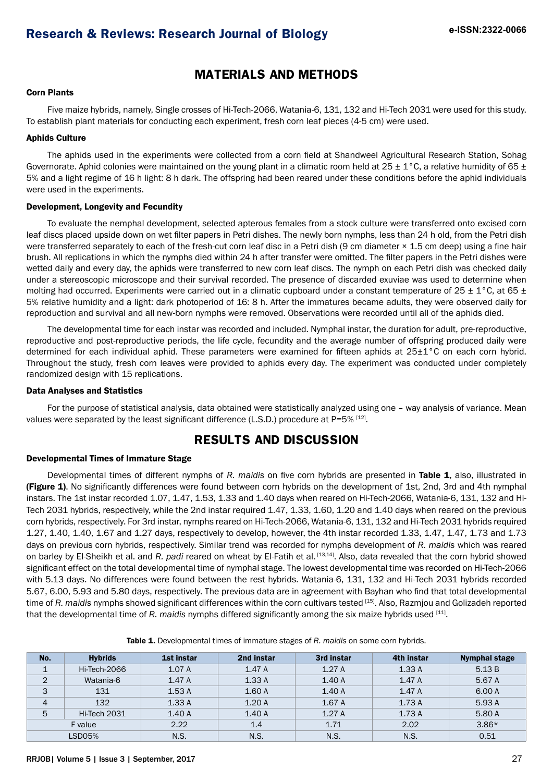## **MATERIALS AND METHODS**

### Corn Plants

Five maize hybrids, namely, Single crosses of Hi-Tech-2066, Watania-6, 131, 132 and Hi-Tech 2031 were used for this study. To establish plant materials for conducting each experiment, fresh corn leaf pieces (4-5 cm) were used.

#### Aphids Culture

The aphids used in the experiments were collected from a corn field at Shandweel Agricultural Research Station, Sohag Governorate. Aphid colonies were maintained on the young plant in a climatic room held at  $25 \pm 1$  °C, a relative humidity of 65  $\pm$ 5% and a light regime of 16 h light: 8 h dark. The offspring had been reared under these conditions before the aphid individuals were used in the experiments.

#### Development, Longevity and Fecundity

To evaluate the nemphal development, selected apterous females from a stock culture were transferred onto excised corn leaf discs placed upside down on wet filter papers in Petri dishes. The newly born nymphs, less than 24 h old, from the Petri dish were transferred separately to each of the fresh-cut corn leaf disc in a Petri dish (9 cm diameter  $\times$  1.5 cm deep) using a fine hair brush. All replications in which the nymphs died within 24 h after transfer were omitted. The filter papers in the Petri dishes were wetted daily and every day, the aphids were transferred to new corn leaf discs. The nymph on each Petri dish was checked daily under a stereoscopic microscope and their survival recorded. The presence of discarded exuviae was used to determine when molting had occurred. Experiments were carried out in a climatic cupboard under a constant temperature of 25  $\pm$  1°C, at 65  $\pm$ 5% relative humidity and a light: dark photoperiod of 16: 8 h. After the immatures became adults, they were observed daily for reproduction and survival and all new-born nymphs were removed. Observations were recorded until all of the aphids died.

The developmental time for each instar was recorded and included. Nymphal instar, the duration for adult, pre-reproductive, reproductive and post-reproductive periods, the life cycle, fecundity and the average number of offspring produced daily were determined for each individual aphid. These parameters were examined for fifteen aphids at 25±1°C on each corn hybrid. Throughout the study, fresh corn leaves were provided to aphids every day. The experiment was conducted under completely randomized design with 15 replications.

#### Data Analyses and Statistics

For the purpose of statistical analysis, data obtained were statistically analyzed using one – way analysis of variance. Mean values were separated by the least significant difference (L.S.D.) procedure at  $P=5\%$  [12].

## **RESULTS AND DISCUSSION**

#### Developmental Times of Immature Stage

Developmental times of different nymphs of *R. maidis* on five corn hybrids are presented in Table 1, also, illustrated in (Figure 1). No significantly differences were found between corn hybrids on the development of 1st, 2nd, 3rd and 4th nymphal instars. The 1st instar recorded 1.07, 1.47, 1.53, 1.33 and 1.40 days when reared on Hi-Tech-2066, Watania-6, 131, 132 and Hi-Tech 2031 hybrids, respectively, while the 2nd instar required 1.47, 1.33, 1.60, 1.20 and 1.40 days when reared on the previous corn hybrids, respectively. For 3rd instar, nymphs reared on Hi-Tech-2066, Watania-6, 131, 132 and Hi-Tech 2031 hybrids required 1.27, 1.40, 1.40, 1.67 and 1.27 days, respectively to develop, however, the 4th instar recorded 1.33, 1.47, 1.47, 1.73 and 1.73 days on previous corn hybrids, respectively. Similar trend was recorded for nymphs development of *R. maidis* which was reared on barley by El-Sheikh et al. and *R. padi* reared on wheat by El-Fatih et al. [13,14]. Also, data revealed that the corn hybrid showed significant effect on the total developmental time of nymphal stage. The lowest developmental time was recorded on Hi-Tech-2066 with 5.13 days. No differences were found between the rest hybrids. Watania-6, 131, 132 and Hi-Tech 2031 hybrids recorded 5.67, 6.00, 5.93 and 5.80 days, respectively. The previous data are in agreement with Bayhan who find that total developmental time of *R. maidis* nymphs showed significant differences within the corn cultivars tested [15]. Also, Razmjou and Golizadeh reported that the developmental time of *R. maidis* nymphs differed significantly among the six maize hybrids used [11].

| No.            | <b>Hybrids</b> | 1st instar | 2nd instar | 3rd instar | 4th instar | Nymphal stage |
|----------------|----------------|------------|------------|------------|------------|---------------|
|                | Hi-Tech-2066   | 1.07A      | 1.47A      | 1.27A      | 1.33A      | 5.13B         |
| 2              | Watania-6      | 1.47A      | 1.33A      | 1.40A      | 1.47A      | 5.67 A        |
| 3              | 131            | 1.53A      | 1.60A      | 1.40A      | 1.47A      | 6.00 A        |
| $\overline{4}$ | 132            | 1.33A      | 1.20A      | 1.67A      | 1.73A      | 5.93 A        |
| 5              | Hi-Tech 2031   | 1.40A      | 1.40A      | 1.27A      | 1.73A      | 5.80 A        |
| F value        |                | 2.22       | 1.4        | 1.71       | 2.02       | $3.86*$       |
| LSD05%         |                | N.S.       | N.S.       | N.S.       | N.S.       | 0.51          |

Table 1. Developmental times of immature stages of *R. maidis* on some corn hybrids.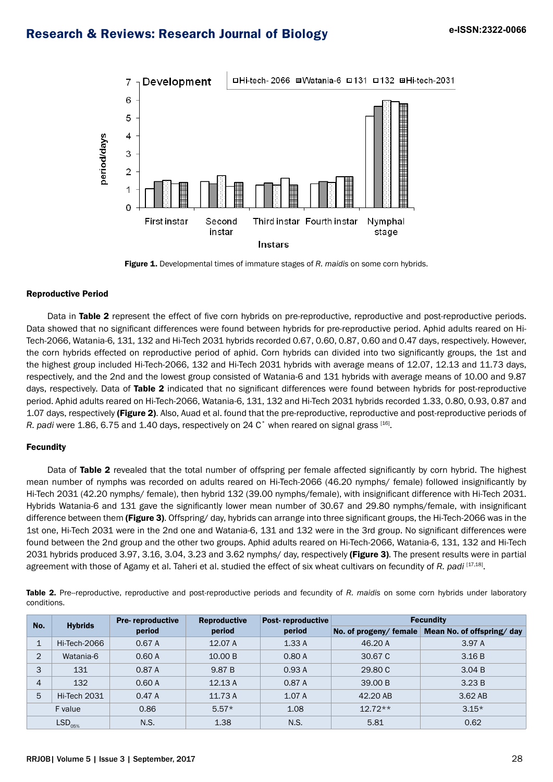

Figure 1. Developmental times of immature stages of *R. maidis* on some corn hybrids.

#### Reproductive Period

Data in Table 2 represent the effect of five corn hybrids on pre-reproductive, reproductive and post-reproductive periods. Data showed that no significant differences were found between hybrids for pre-reproductive period. Aphid adults reared on Hi-Tech-2066, Watania-6, 131, 132 and Hi-Tech 2031 hybrids recorded 0.67, 0.60, 0.87, 0.60 and 0.47 days, respectively. However, the corn hybrids effected on reproductive period of aphid. Corn hybrids can divided into two significantly groups, the 1st and the highest group included Hi-Tech-2066, 132 and Hi-Tech 2031 hybrids with average means of 12.07, 12.13 and 11.73 days, respectively, and the 2nd and the lowest group consisted of Watania-6 and 131 hybrids with average means of 10.00 and 9.87 days, respectively. Data of Table 2 indicated that no significant differences were found between hybrids for post-reproductive period. Aphid adults reared on Hi-Tech-2066, Watania-6, 131, 132 and Hi-Tech 2031 hybrids recorded 1.33, 0.80, 0.93, 0.87 and 1.07 days, respectively (Figure 2). Also, Auad et al. found that the pre-reproductive, reproductive and post-reproductive periods of *R. padi* were 1.86, 6.75 and 1.40 days, respectively on 24 C° when reared on signal grass [16].

#### **Fecundity**

Data of Table 2 revealed that the total number of offspring per female affected significantly by corn hybrid. The highest mean number of nymphs was recorded on adults reared on Hi-Tech-2066 (46.20 nymphs/ female) followed insignificantly by Hi-Tech 2031 (42.20 nymphs/ female), then hybrid 132 (39.00 nymphs/female), with insignificant difference with Hi-Tech 2031. Hybrids Watania-6 and 131 gave the significantly lower mean number of 30.67 and 29.80 nymphs/female, with insignificant difference between them (Figure 3). Offspring/day, hybrids can arrange into three significant groups, the Hi-Tech-2066 was in the 1st one, Hi-Tech 2031 were in the 2nd one and Watania-6, 131 and 132 were in the 3rd group. No significant differences were found between the 2nd group and the other two groups. Aphid adults reared on Hi-Tech-2066, Watania-6, 131, 132 and Hi-Tech 2031 hybrids produced 3.97, 3.16, 3.04, 3.23 and 3.62 nymphs/day, respectively (Figure 3). The present results were in partial agreement with those of Agamy et al. Taheri et al. studied the effect of six wheat cultivars on fecundity of *R. padi* [17,18].

Table 2. Pre-reproductive, reproductive and post-reproductive periods and fecundity of R. maidis on some corn hybrids under laboratory conditions.

| No.                            | <b>Hybrids</b> | <b>Pre-reproductive</b> | <b>Reproductive</b><br>period | Post-reproductive<br>period | <b>Fecundity</b> |                                                 |  |
|--------------------------------|----------------|-------------------------|-------------------------------|-----------------------------|------------------|-------------------------------------------------|--|
|                                |                | period                  |                               |                             |                  | No. of progeny/female Mean No. of offspring/day |  |
| 1                              | Hi-Tech-2066   | 0.67 A                  | 12.07 A                       | 1.33A                       | 46.20 A          | 3.97 A                                          |  |
| $\overline{2}$                 | Watania-6      | 0.60A                   | 10.00 B                       | 0.80A                       | 30.67 C          | 3.16B                                           |  |
| 3                              | 131            | 0.87 A                  | 9.87 B                        | 0.93A                       | 29,80 C          | 3.04 B                                          |  |
| $\overline{4}$                 | 132            | 0.60A                   | 12.13A                        | 0.87 A                      | 39.00 B          | 3.23B                                           |  |
| 5                              | Hi-Tech 2031   | 0.47A                   | 11.73 A                       | 1.07 A                      | 42.20 AB         | 3.62 AB                                         |  |
| F value                        |                | 0.86                    | $5.57*$                       | 1.08                        | $12.72**$        | $3.15*$                                         |  |
| $\mathsf{LSD}_{\mathrm{05\%}}$ |                | N.S.                    | 1.38                          | N.S.                        | 5.81             | 0.62                                            |  |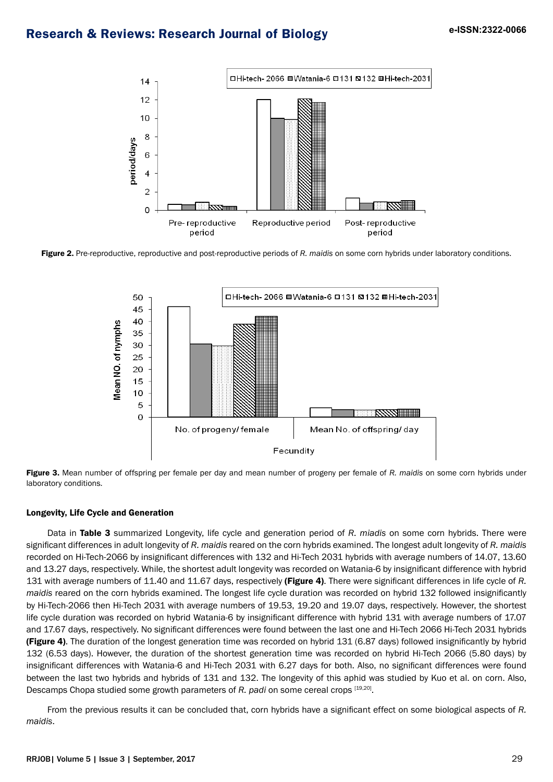

Figure 2. Pre-reproductive, reproductive and post-reproductive periods of R. maidis on some corn hybrids under laboratory conditions.





#### Longevity, Life Cycle and Generation

Data in Table 3 summarized Longevity, life cycle and generation period of *R. miadis* on some corn hybrids. There were significant differences in adult longevity of *R. maidis* reared on the corn hybrids examined. The longest adult longevity of *R. maidis* recorded on Hi-Tech-2066 by insignificant differences with 132 and Hi-Tech 2031 hybrids with average numbers of 14.07, 13.60 and 13.27 days, respectively. While, the shortest adult longevity was recorded on Watania-6 by insignificant difference with hybrid 131 with average numbers of 11.40 and 11.67 days, respectively (Figure 4). There were significant differences in life cycle of *R. maidis* reared on the corn hybrids examined. The longest life cycle duration was recorded on hybrid 132 followed insignificantly by Hi-Tech-2066 then Hi-Tech 2031 with average numbers of 19.53, 19.20 and 19.07 days, respectively. However, the shortest life cycle duration was recorded on hybrid Watania-6 by insignificant difference with hybrid 131 with average numbers of 17.07 and 17.67 days, respectively. No significant differences were found between the last one and Hi-Tech 2066 Hi-Tech 2031 hybrids (Figure 4). The duration of the longest generation time was recorded on hybrid 131 (6.87 days) followed insignificantly by hybrid 132 (6.53 days). However, the duration of the shortest generation time was recorded on hybrid Hi-Tech 2066 (5.80 days) by insignificant differences with Watania-6 and Hi-Tech 2031 with 6.27 days for both. Also, no significant differences were found between the last two hybrids and hybrids of 131 and 132. The longevity of this aphid was studied by Kuo et al. on corn. Also, Descamps Chopa studied some growth parameters of *R. padi* on some cereal crops [19,20].

From the previous results it can be concluded that, corn hybrids have a significant effect on some biological aspects of *R. maidis*.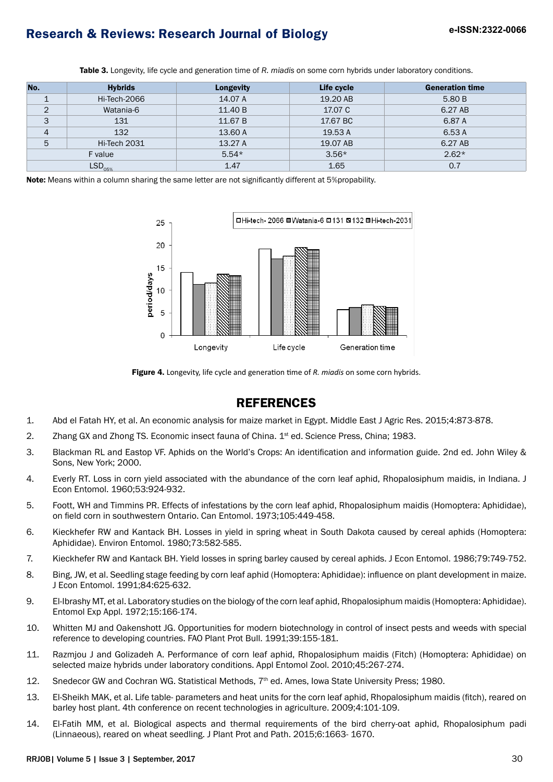| No.            | <b>Hybrids</b> | <b>Longevity</b> | Life cycle | <b>Generation time</b> |
|----------------|----------------|------------------|------------|------------------------|
|                | Hi-Tech-2066   | 14.07 A          | 19.20 AB   | 5.80 B                 |
| 2              | Watania-6      | 11.40 B          | 17.07 C    | 6.27 AB                |
| 3              | 131            | 11.67 B          | 17.67 BC   | 6.87 A                 |
| $\overline{4}$ | 132            | 13.60 A          | 19.53 A    | 6.53 A                 |
| 5              | Hi-Tech 2031   | 13.27 A          | 19.07 AB   | 6.27 AB                |
| F value        |                | $5.54*$          | $3.56*$    | $2.62*$                |
| $LSD05%$       |                | 1.47             | 1.65       | 0.7                    |

Table 3. Longevity, life cycle and generation time of *R. miadis* on some corn hybrids under laboratory conditions.

Note: Means within a column sharing the same letter are not significantly different at 5%propability.



Figure 4. Longevity, life cycle and generation time of *R. miadis* on some corn hybrids.

## **REFERENCES**

- 1. Abd el Fatah HY, et al. An economic analysis for maize market in Egypt. Middle East J Agric Res. 2015;4:873-878.
- 2. Zhang GX and Zhong TS. Economic insect fauna of China. 1<sup>st</sup> ed. Science Press, China; 1983.
- 3. Blackman RL and Eastop VF. Aphids on the World's Crops: An identification and information guide. 2nd ed. John Wiley & Sons, New York; 2000.
- 4. Everly RT. Loss in corn yield associated with the abundance of the corn leaf aphid, Rhopalosiphum maidis, in Indiana. J Econ Entomol. 1960;53:924-932.
- 5. Foott, WH and Timmins PR. Effects of infestations by the corn leaf aphid, Rhopalosiphum maidis (Homoptera: Aphididae), on field corn in southwestern Ontario. Can Entomol. 1973;105:449-458.
- 6. Kieckhefer RW and Kantack BH. Losses in yield in spring wheat in South Dakota caused by cereal aphids (Homoptera: Aphididae). Environ Entomol. 1980;73:582-585.
- 7. Kieckhefer RW and Kantack BH. Yield losses in spring barley caused by cereal aphids. J Econ Entomol. 1986;79:749-752.
- 8. Bing, JW, et al. Seedling stage feeding by corn leaf aphid (Homoptera: Aphididae): influence on plant development in maize. J Econ Entomol. 1991;84:625-632.
- 9. El-Ibrashy MT, et al. Laboratory studies on the biology of the corn leaf aphid, Rhopalosiphum maidis (Homoptera: Aphididae). Entomol Exp Appl. 1972;15:166-174.
- 10. Whitten MJ and Oakenshott JG. Opportunities for modern biotechnology in control of insect pests and weeds with special reference to developing countries. FAO Plant Prot Bull. 1991;39:155-181.
- 11. Razmjou J and Golizadeh A. Performance of corn leaf aphid, Rhopalosiphum maidis (Fitch) (Homoptera: Aphididae) on selected maize hybrids under laboratory conditions. Appl Entomol Zool. 2010;45:267-274.
- 12. Snedecor GW and Cochran WG. Statistical Methods, 7<sup>th</sup> ed. Ames, Iowa State University Press; 1980.
- 13. El-Sheikh MAK, et al. Life table- parameters and heat units for the corn leaf aphid, Rhopalosiphum maidis (fitch), reared on barley host plant. 4th conference on recent technologies in agriculture. 2009;4:101-109.
- 14. El-Fatih MM, et al. Biological aspects and thermal requirements of the bird cherry-oat aphid, Rhopalosiphum padi (Linnaeous), reared on wheat seedling. J Plant Prot and Path. 2015;6:1663- 1670.